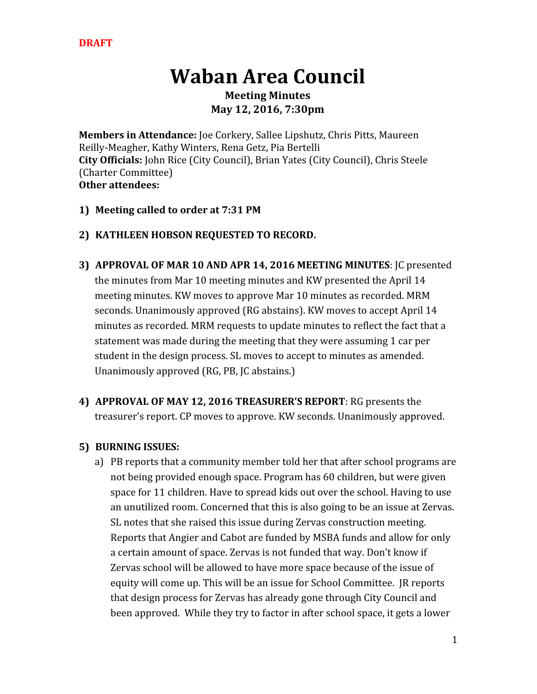# **Waban Area Council**

**Meeting Minutes May 12, 2016, 7:30pm**

**Members in Attendance:**Joe Corkery, Sallee Lipshutz, Chris Pitts, Maureen Reilly-Meagher, Kathy Winters, Rena Getz, Pia Bertelli **City Officials:**John Rice (City Council), Brian Yates (City Council), Chris Steele (Charter Committee) **Other attendees:**

## **1) Meeting called to order at 7:31 PM**

## **2) KATHLEEN HOBSON REQUESTED TO RECORD.**

- **3) APPROVAL OF MAR 10 AND APR 14, 2016 MEETING MINUTES**: JC presented the minutes from Mar 10 meeting minutes and KW presented the April 14 meeting minutes. KW moves to approve Mar 10 minutes as recorded. MRM seconds. Unanimously approved (RG abstains). KW moves to accept April 14 minutes as recorded. MRM requests to update minutes to reflect the fact that a statement was made during the meeting that they were assuming 1 car per student in the design process. SL moves to accept to minutes as amended. Unanimously approved (RG, PB, JC abstains.)
- **4) APPROVAL OF MAY 12, 2016 TREASURER'S REPORT**: RG presents the treasurer's report. CP moves to approve. KW seconds. Unanimously approved.

## **5) BURNING ISSUES:**

a) PB reports that a community member told her that after school programs are not being provided enough space. Program has 60 children, but were given space for 11 children. Have to spread kids out over the school. Having to use an unutilized room. Concerned that this is also going to be an issue at Zervas. SL notes that she raised this issue during Zervas construction meeting. Reports that Angier and Cabot are funded by MSBA funds and allow for only a certain amount of space. Zervas is not funded that way. Don't know if Zervas school will be allowed to have more space because of the issue of equity will come up. This will be an issue for School Committee. JR reports that design process for Zervas has already gone through City Council and been approved. While they try to factor in after school space, it gets a lower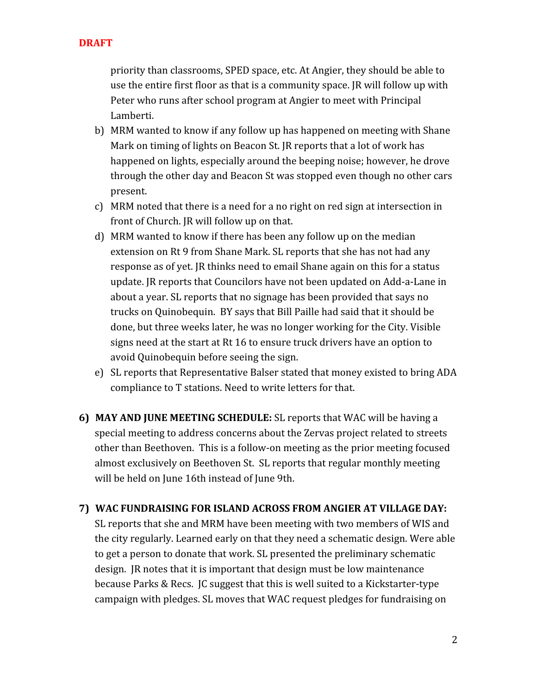priority than classrooms, SPED space, etc. At Angier, they should be able to use the entire first floor as that is a community space. JR will follow up with Peter who runs after school program at Angier to meet with Principal Lamberti.

- b) MRM wanted to know if any follow up has happened on meeting with Shane Mark on timing of lights on Beacon St. JR reports that a lot of work has happened on lights, especially around the beeping noise; however, he drove through the other day and Beacon St was stopped even though no other cars present.
- c) MRM noted that there is a need for a no right on red sign at intersection in front of Church. JR will follow up on that.
- d) MRM wanted to know if there has been any follow up on the median extension on Rt 9 from Shane Mark. SL reports that she has not had any response as of yet. JR thinks need to email Shane again on this for a status update. JR reports that Councilors have not been updated on Add-a-Lane in about a year. SL reports that no signage has been provided that says no trucks on Quinobequin. BY says that Bill Paille had said that it should be done, but three weeks later, he was no longer working for the City. Visible signs need at the start at Rt 16 to ensure truck drivers have an option to avoid Quinobequin before seeing the sign.
- e) SL reports that Representative Balser stated that money existed to bring ADA compliance to T stations. Need to write letters for that.
- **6) MAY AND JUNE MEETING SCHEDULE:**SL reports that WAC will be having a special meeting to address concerns about the Zervas project related to streets other than Beethoven. This is a follow-on meeting as the prior meeting focused almost exclusively on Beethoven St. SL reports that regular monthly meeting will be held on June 16th instead of June 9th.

#### **7) WAC FUNDRAISING FOR ISLAND ACROSS FROM ANGIER AT VILLAGE DAY:**

SL reports that she and MRM have been meeting with two members of WIS and the city regularly. Learned early on that they need a schematic design. Were able to get a person to donate that work. SL presented the preliminary schematic design. JR notes that it is important that design must be low maintenance because Parks & Recs. JC suggest that this is well suited to a Kickstarter-type campaign with pledges. SL moves that WAC request pledges for fundraising on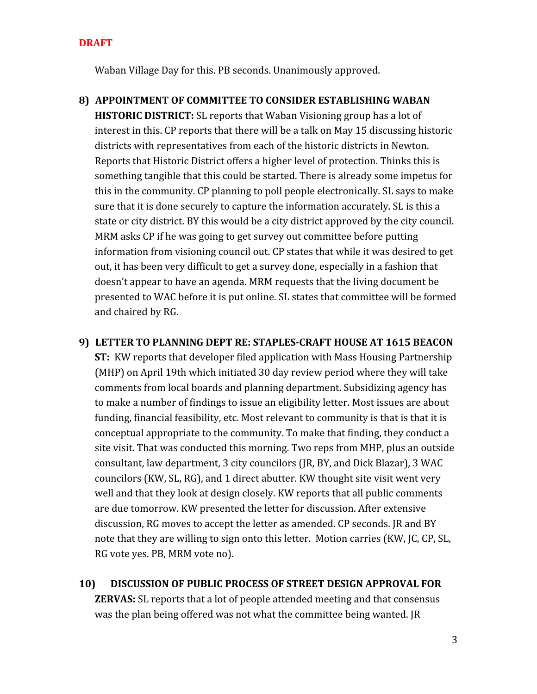#### **DRAFT**

Waban Village Day for this. PB seconds. Unanimously approved.

- **8) APPOINTMENT OF COMMITTEE TO CONSIDER ESTABLISHING WABAN HISTORIC DISTRICT:**SL reports that Waban Visioning group has a lot of interest in this. CP reports that there will be a talk on May 15 discussing historic districts with representatives from each of the historic districts in Newton. Reports that Historic District offers a higher level of protection. Thinks this is something tangible that this could be started. There is already some impetus for this in the community. CP planning to poll people electronically. SL says to make sure that it is done securely to capture the information accurately. SL is this a state or city district. BY this would be a city district approved by the city council. MRM asks CP if he was going to get survey out committee before putting information from visioning council out. CP states that while it was desired to get out, it has been very difficult to get a survey done, especially in a fashion that doesn't appear to have an agenda. MRM requests that the living document be presented to WAC before it is put online. SL states that committee will be formed and chaired by RG.
- **9) LETTER TO PLANNING DEPT RE: STAPLESCRAFT HOUSE AT 1615 BEACON**

**ST:** KW reports that developer filed application with Mass Housing Partnership (MHP) on April 19th which initiated 30 day review period where they will take comments from local boards and planning department. Subsidizing agency has to make a number of findings to issue an eligibility letter. Most issues are about funding, financial feasibility, etc. Most relevant to community is that is that it is conceptual appropriate to the community. To make that finding, they conduct a site visit. That was conducted this morning. Two reps from MHP, plus an outside consultant, law department, 3 city councilors (JR, BY, and Dick Blazar), 3 WAC councilors (KW, SL, RG), and 1 direct abutter. KW thought site visit went very well and that they look at design closely. KW reports that all public comments are due tomorrow. KW presented the letter for discussion. After extensive discussion, RG moves to accept the letter as amended. CP seconds. JR and BY note that they are willing to sign onto this letter. Motion carries (KW, JC, CP, SL, RG vote yes. PB, MRM vote no).

**10) DISCUSSION OF PUBLIC PROCESS OF STREET DESIGN APPROVAL FOR ZERVAS:** SL reports that a lot of people attended meeting and that consensus was the plan being offered was not what the committee being wanted. JR